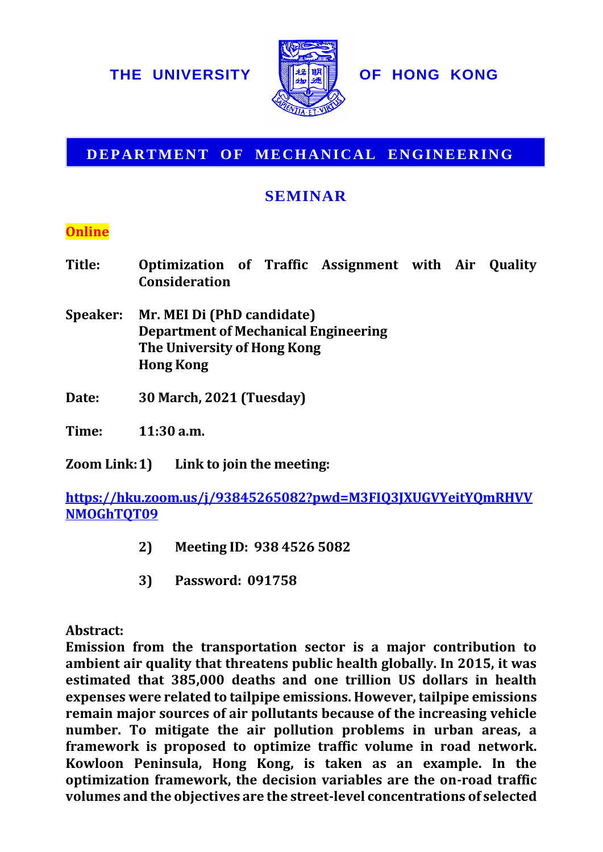

## **DEPARTMENT OF MECHANICAL ENGINEERING**

## **SEMINAR**

## **Online**

| Title:          | Optimization of Traffic Assignment with Air Quality<br><b>Consideration</b> |  |  |  |  |  |  |
|-----------------|-----------------------------------------------------------------------------|--|--|--|--|--|--|
| <b>Speaker:</b> | Mr. MEI Di (PhD candidate)<br><b>Department of Mechanical Engineering</b>   |  |  |  |  |  |  |

- **The University of Hong Kong Hong Kong**
- **Date: 30 March, 2021 (Tuesday)**

**Time: 11:30 a.m.**

**Zoom Link:1) Link to join the meeting:**

**[https://hku.zoom.us/j/93845265082?pwd=M3FIQ3JXUGVYeitYQmRHVV](https://hku.zoom.us/j/93845265082?pwd=M3FIQ3JXUGVYeitYQmRHVVNMOGhTQT09) [NMOGhTQT09](https://hku.zoom.us/j/93845265082?pwd=M3FIQ3JXUGVYeitYQmRHVVNMOGhTQT09)**

- **2) Meeting ID: 938 4526 5082**
- **3) Password: 091758**

**Abstract:**

**Emission from the transportation sector is a major contribution to ambient air quality that threatens public health globally. In 2015, it was estimated that 385,000 deaths and one trillion US dollars in health expenses were related to tailpipe emissions. However, tailpipe emissions remain major sources of air pollutants because of the increasing vehicle number. To mitigate the air pollution problems in urban areas, a framework is proposed to optimize traffic volume in road network. Kowloon Peninsula, Hong Kong, is taken as an example. In the optimization framework, the decision variables are the on-road traffic volumes and the objectives are the objectives are the objectives are the street-level concentrations of Parameters are the street-level concentrations of the objectives are the street-level concentrations of the concentra**